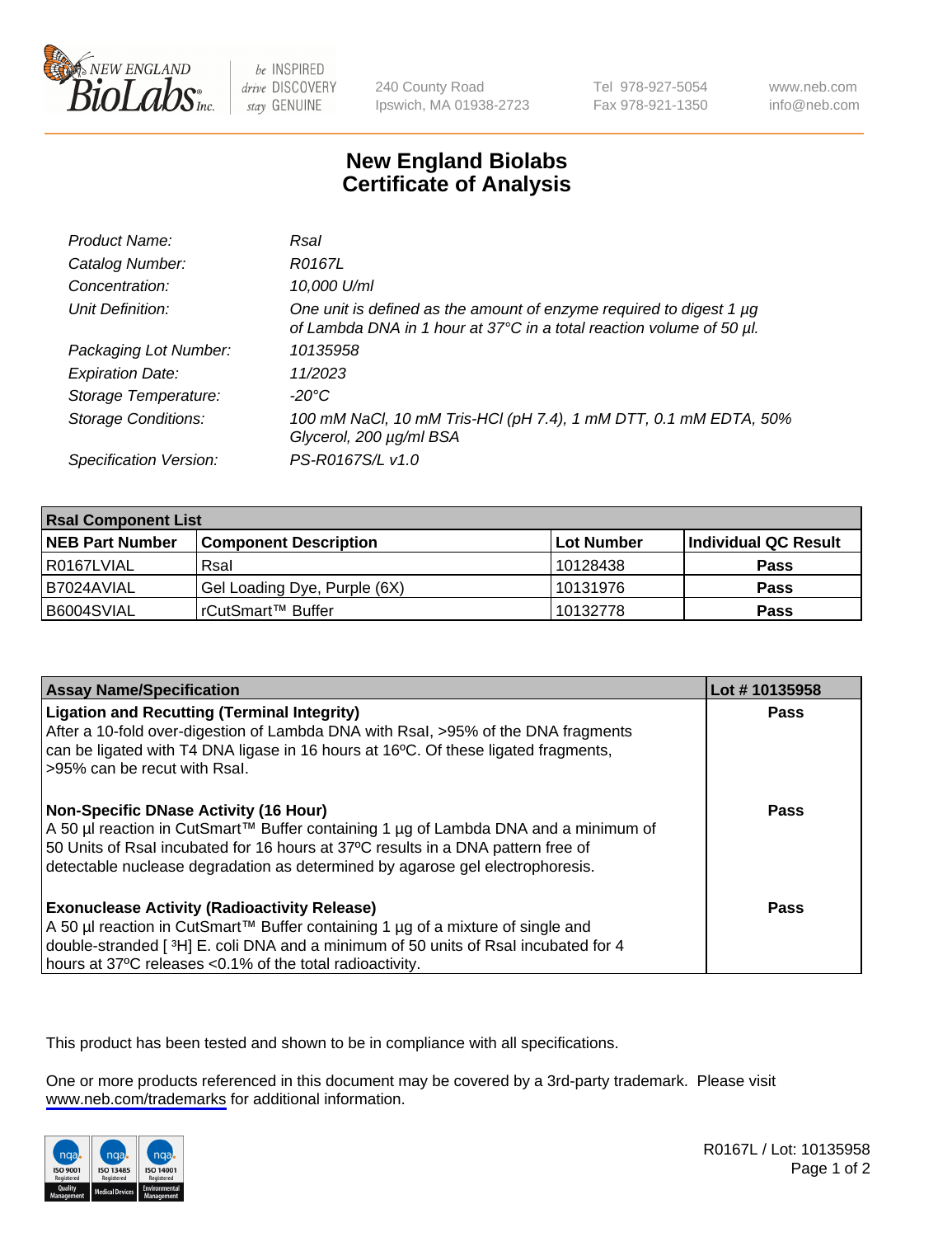

be INSPIRED drive DISCOVERY stay GENUINE

240 County Road Ipswich, MA 01938-2723 Tel 978-927-5054 Fax 978-921-1350

www.neb.com info@neb.com

## **New England Biolabs Certificate of Analysis**

| Product Name:              | Rsal                                                                                                                                             |
|----------------------------|--------------------------------------------------------------------------------------------------------------------------------------------------|
| Catalog Number:            | R0167L                                                                                                                                           |
| Concentration:             | 10,000 U/ml                                                                                                                                      |
| Unit Definition:           | One unit is defined as the amount of enzyme required to digest 1 $\mu$ g<br>of Lambda DNA in 1 hour at 37°C in a total reaction volume of 50 µl. |
| Packaging Lot Number:      | 10135958                                                                                                                                         |
| <b>Expiration Date:</b>    | 11/2023                                                                                                                                          |
| Storage Temperature:       | $-20^{\circ}$ C                                                                                                                                  |
| <b>Storage Conditions:</b> | 100 mM NaCl, 10 mM Tris-HCl (pH 7.4), 1 mM DTT, 0.1 mM EDTA, 50%<br>Glycerol, 200 µg/ml BSA                                                      |
| Specification Version:     | PS-R0167S/L v1.0                                                                                                                                 |

| <b>Rsal Component List</b> |                              |            |                      |  |  |
|----------------------------|------------------------------|------------|----------------------|--|--|
| <b>NEB Part Number</b>     | <b>Component Description</b> | Lot Number | Individual QC Result |  |  |
| R0167LVIAL                 | Rsal                         | 10128438   | <b>Pass</b>          |  |  |
| I B7024AVIAL               | Gel Loading Dye, Purple (6X) | 10131976   | <b>Pass</b>          |  |  |
| B6004SVIAL                 | rCutSmart™ Buffer            | 10132778   | <b>Pass</b>          |  |  |

| <b>Assay Name/Specification</b>                                                                                                                                                                                                                                                                     | Lot #10135958 |
|-----------------------------------------------------------------------------------------------------------------------------------------------------------------------------------------------------------------------------------------------------------------------------------------------------|---------------|
| <b>Ligation and Recutting (Terminal Integrity)</b><br>After a 10-fold over-digestion of Lambda DNA with Rsal, >95% of the DNA fragments<br>can be ligated with T4 DNA ligase in 16 hours at 16 <sup>o</sup> C. Of these ligated fragments,<br>l >95% can be recut with Rsal.                        | Pass          |
| Non-Specific DNase Activity (16 Hour)<br>  A 50 µl reaction in CutSmart™ Buffer containing 1 µg of Lambda DNA and a minimum of<br>50 Units of Rsal incubated for 16 hours at 37°C results in a DNA pattern free of<br>detectable nuclease degradation as determined by agarose gel electrophoresis. | Pass          |
| Exonuclease Activity (Radioactivity Release)<br>  A 50 µl reaction in CutSmart™ Buffer containing 1 µg of a mixture of single and<br>double-stranded [3H] E. coli DNA and a minimum of 50 units of Rsal incubated for 4<br>hours at 37°C releases <0.1% of the total radioactivity.                 | Pass          |

This product has been tested and shown to be in compliance with all specifications.

One or more products referenced in this document may be covered by a 3rd-party trademark. Please visit <www.neb.com/trademarks>for additional information.